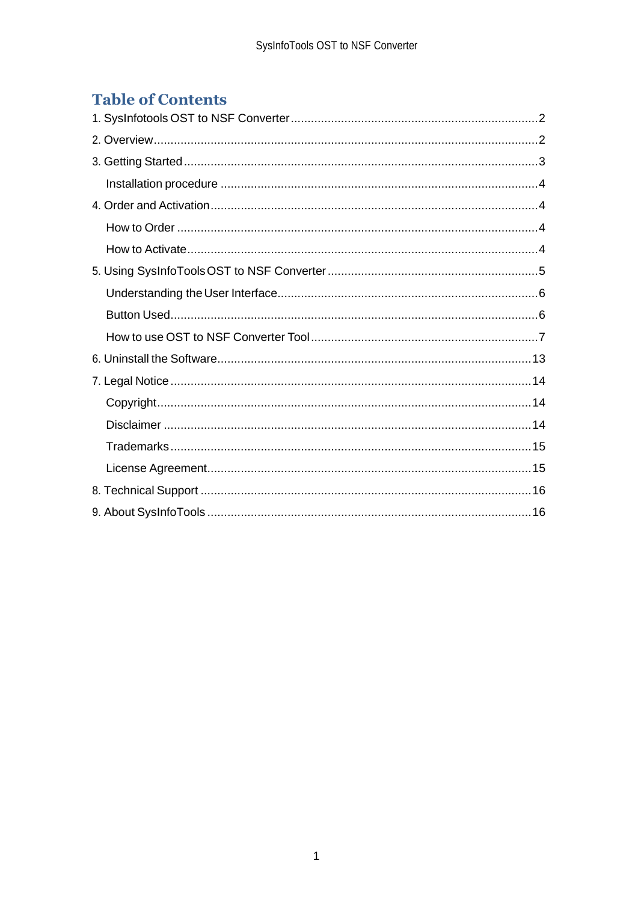# **Table of Contents**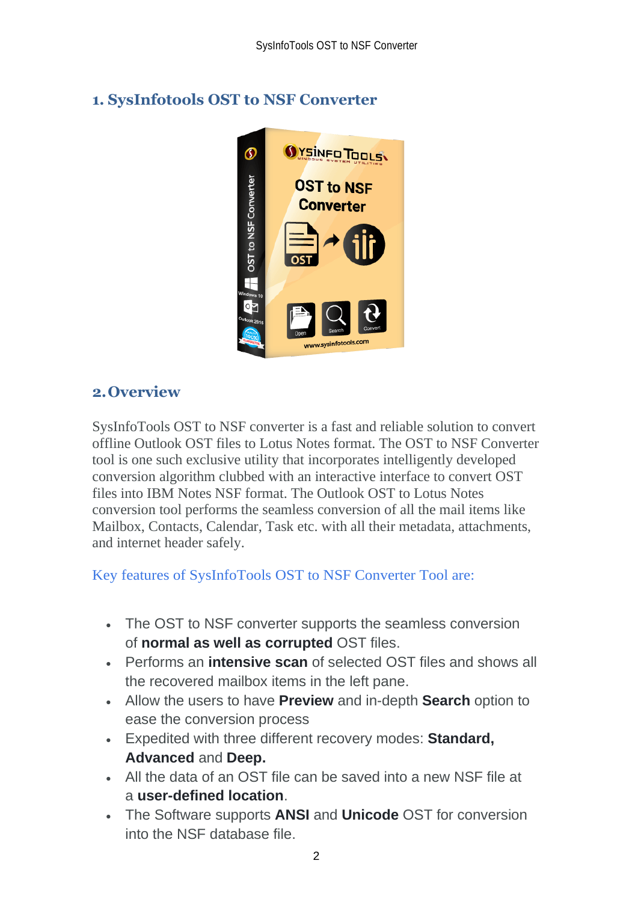<span id="page-2-0"></span>

# <span id="page-2-1"></span>**2.Overview**

SysInfoTools OST to NSF converter is a fast and reliable solution to convert offline Outlook OST files to Lotus Notes format. The OST to NSF Converter tool is one such exclusive utility that incorporates intelligently developed conversion algorithm clubbed with an interactive interface to convert OST files into IBM Notes NSF format. The Outlook OST to Lotus Notes conversion tool performs the seamless conversion of all the mail items like Mailbox, Contacts, Calendar, Task etc. with all their metadata, attachments, and internet header safely.

Key features of SysInfoTools OST to NSF Converter Tool are:

- The OST to NSF converter supports the seamless conversion of **normal as well as corrupted** OST files.
- Performs an **intensive scan** of selected OST files and shows all the recovered mailbox items in the left pane.
- Allow the users to have **Preview** and in-depth **Search** option to ease the conversion process
- Expedited with three different recovery modes: **Standard, Advanced** and **Deep.**
- All the data of an OST file can be saved into a new NSF file at a **user-defined location**.
- The Software supports **ANSI** and **Unicode** OST for conversion into the NSF database file.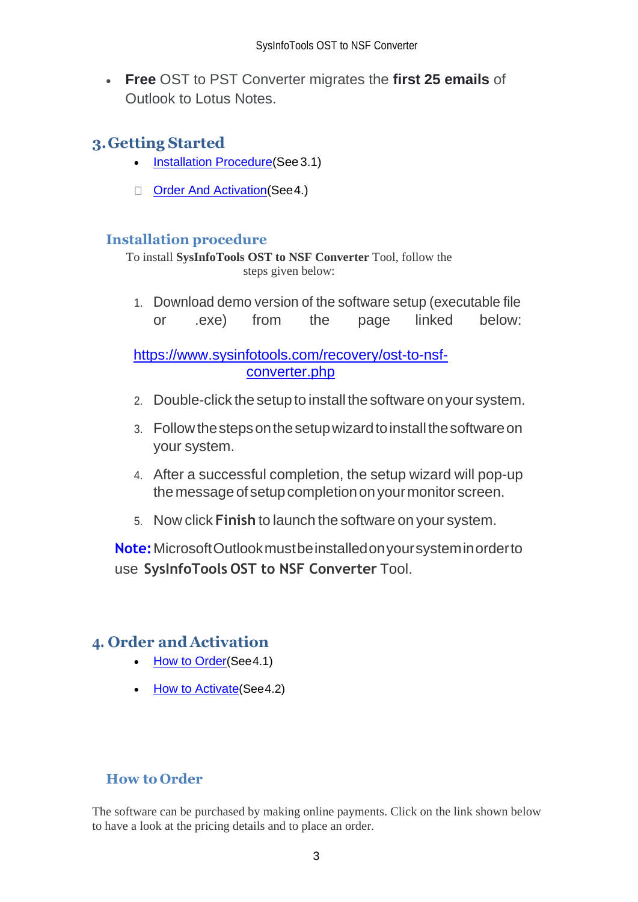• **Free** OST to PST Converter migrates the **first 25 emails** of Outlook to Lotus Notes.

# <span id="page-3-0"></span>**3.Getting Started**

- [Installation Procedure\(](#page-3-1)See 3.1)
- Order And Activation (See 4.)

## <span id="page-3-1"></span>**Installation procedure**

To install **SysInfoTools OST to NSF Converter** Tool, follow the steps given below:

1. Download demo version of the software setup (executable file or .exe) from the page linked below:

[https://www.sysinfotools.com/recovery/ost-to-nsf](https://www.sysinfotools.com/recovery/ost-to-nsf-converter.php)[converter.php](https://www.sysinfotools.com/recovery/ost-to-nsf-converter.php)

- 2. Double-click the setup to install the software onyour system.
- 3. Follow the steps on the setup wizard to install the software on your system.
- 4. After a successful completion, the setup wizard will pop-up the message of setup completion on your monitor screen.
- 5. Now click **Finish** to launch the software on your system.

**Note:**MicrosoftOutlookmustbeinstalledonyoursysteminorderto use **SysInfoTools OST to NSF Converter** Tool.

## <span id="page-3-2"></span>**4. Order and Activation**

- [How to Order](#page-3-3)(See4.1)
- [How to Activate](#page-4-0)(See4.2)

## <span id="page-3-3"></span>**How to Order**

The software can be purchased by making online payments. Click on the link shown below to have a look at the pricing details and to place an order.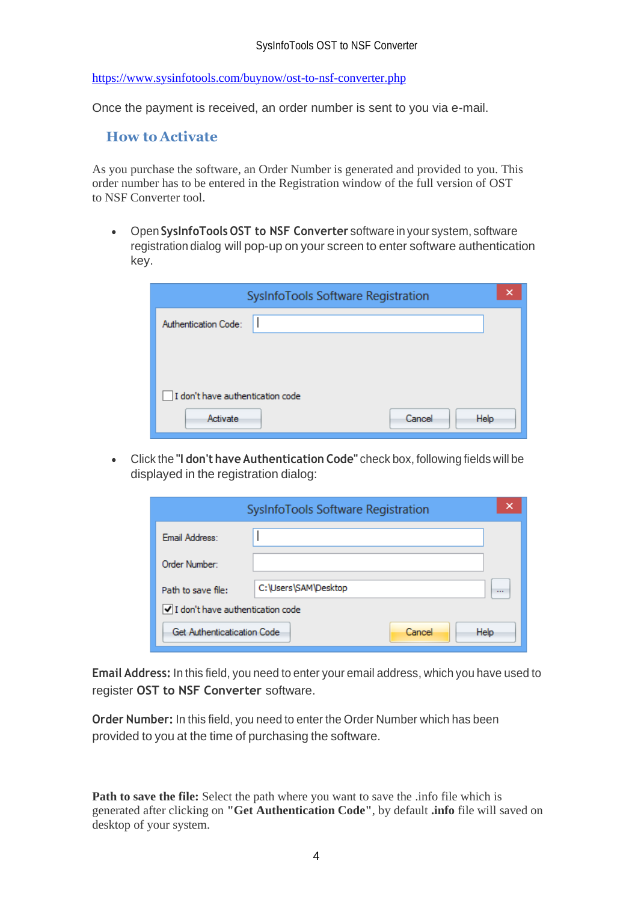<https://www.sysinfotools.com/buynow/ost-to-nsf-converter.php>

Once the payment is received, an order number is sent to you via e-mail.

#### <span id="page-4-0"></span>**How to Activate**

As you purchase the software, an Order Number is generated and provided to you. This order number has to be entered in the Registration window of the full version of OST to NSF Converter tool.

• Open **SysInfoTools OST to NSF Converter** software in your system, software registration dialog will pop-up on your screen to enter software authentication key.

| SysInfoTools Software Registration |                |
|------------------------------------|----------------|
| Authentication Code:               |                |
|                                    |                |
|                                    |                |
| I don't have authentication code   |                |
| Activate                           | Cancel<br>Help |

• Click the **"I don't have Authentication Code"** check box, following fields will be displayed in the registration dialog:

|                                  | SysInfoTools Software Registration | ×                    |
|----------------------------------|------------------------------------|----------------------|
| Email Address:                   |                                    |                      |
| Order Number:                    |                                    |                      |
| Path to save file:               | C:\Users\SAM\Desktop               | $\sim$ $\sim$ $\sim$ |
| I don't have authentication code |                                    |                      |
| Get Authenticatication Code      | Help<br>Cancel                     |                      |

**Email Address:** In this field, you need to enter your email address, which you have used to register **OST to NSF Converter** software.

**Order Number:** In this field, you need to enter the Order Number which has been provided to you at the time of purchasing the software.

**Path to save the file:** Select the path where you want to save the .info file which is generated after clicking on **"Get Authentication Code"**, by default **.info** file will saved on desktop of your system.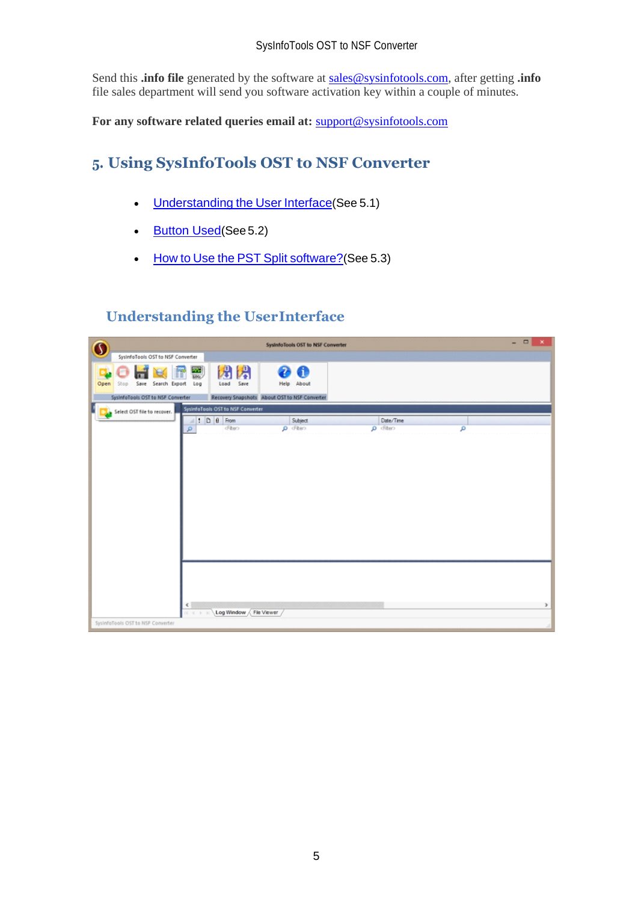Send this **.info file** generated by the software at [sales@sysinfotools.com,](mailto:sales@sysinfotools.com) after getting **.info** file sales department will send you software activation key within a couple of minutes.

**For any software related queries email at:** [support@sysinfotools.com](mailto:support@sysinfotools.com)

# <span id="page-5-0"></span>**5. Using SysInfoTools OST to NSF Converter**

- [Understanding](#page-5-1) the User Interface(See 5.1)
- [Button Used](#page-5-2)(See 5.2)
- How to Use the PST Split [software?](#page-6-0)(See 5.3)

## <span id="page-5-1"></span>**Understanding the UserInterface**

<span id="page-5-2"></span>

| $\mathbf 0$ |                                   |                    |                         |                                               |   | SysterfoTools OST to NSF Converter |                |   | $   \times$ |
|-------------|-----------------------------------|--------------------|-------------------------|-----------------------------------------------|---|------------------------------------|----------------|---|-------------|
|             | SystefoTools OST to NSF Converter |                    |                         |                                               |   |                                    |                |   |             |
| Open        | Stop                              | Save Search Export | $\frac{20}{100}$<br>Log | 舟<br>閉<br>Save<br>Load                        | 2 | Л<br>Help About                    |                |   |             |
|             | Systerfolio OST to NSF Converter  |                    |                         | Recovery Snapshots About OST to NSF Converter |   |                                    |                |   |             |
|             | Select OST file to recover.       |                    |                         | SystemoTools OST to NSF Converter             |   |                                    |                |   |             |
|             |                                   |                    | a,                      | $\bullet$ 0 8 From                            |   | Subject                            | Date/Time      |   |             |
|             |                                   |                    | p                       | cFiber>                                       |   | O cFiber>                          | $\rho$ cfiter> | ۵ |             |
|             |                                   |                    |                         |                                               |   |                                    |                |   |             |
|             |                                   |                    |                         |                                               |   |                                    |                |   |             |
|             |                                   |                    |                         |                                               |   |                                    |                |   |             |
|             |                                   |                    |                         |                                               |   |                                    |                |   |             |
|             |                                   |                    |                         |                                               |   |                                    |                |   |             |
|             |                                   |                    |                         |                                               |   |                                    |                |   |             |
|             |                                   |                    | $\leftarrow$<br>$+1$    | Log Window / File Viewer                      |   |                                    |                |   | r           |
|             | SysInfoTools OST to NSF Converter |                    |                         |                                               |   |                                    |                |   |             |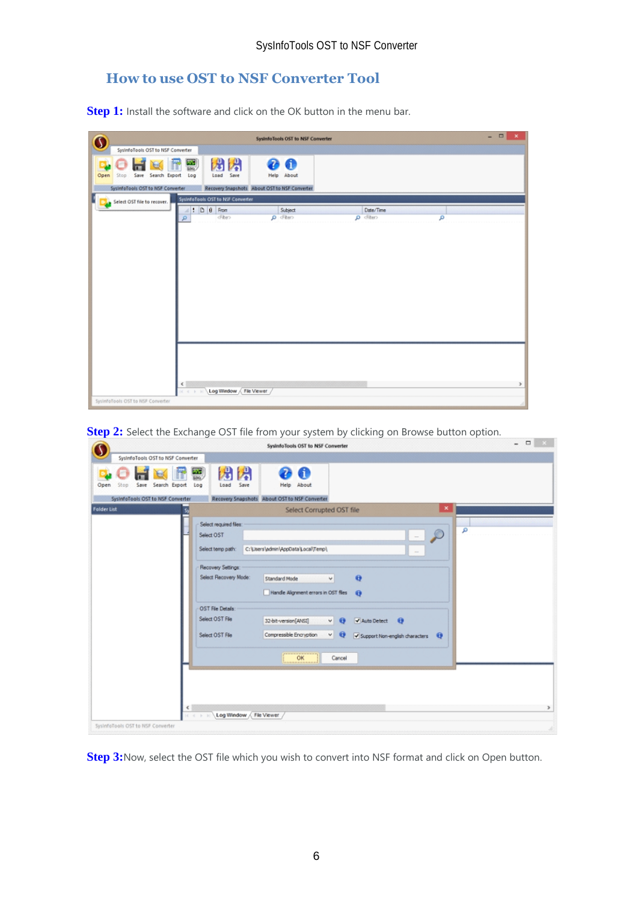## <span id="page-6-0"></span>**How to use OST to NSF Converter Tool**

**Step 1:** Install the software and click on the OK button in the menu bar.

|                                    | SysterfoTools OST to NSF Converter                             |                | $\Box$<br>$\overline{\phantom{0}}$<br>$\mathbf x$ |
|------------------------------------|----------------------------------------------------------------|----------------|---------------------------------------------------|
| SysInfoTools OST to NSF Converter  |                                                                |                |                                                   |
| Open<br>Save Search Export<br>Stop | 閉<br>闭<br>裂<br>0<br>2<br>Save<br>Load<br>Help About<br>Log     |                |                                                   |
| SystnfoTools OST to NSF Converter  | Recovery Snapshots About OST to NSF Converter                  |                |                                                   |
| Select OST file to recover.        | SystemoTools OST to NSF Converter                              |                |                                                   |
|                                    | $\bullet$ 0 8 From<br>Subject<br>×                             | Date/Time      |                                                   |
|                                    | cFiber><br>O Fhen<br>P                                         | $\rho$ cfiter> | ۹                                                 |
|                                    |                                                                |                |                                                   |
| SysterfoTools OST to NSF Converter | $\left\langle \cdot \right\rangle$<br>Log Window / File Viewer |                |                                                   |

**Step 2:** Select the Exchange OST file from your system by clicking on Browse button option.

|                                                 | SysinfoTools OST to NSF Converter                                                                                                                                                                                                                                 | $   -$ |
|-------------------------------------------------|-------------------------------------------------------------------------------------------------------------------------------------------------------------------------------------------------------------------------------------------------------------------|--------|
| SysInfoTools OST to NSF Converter               |                                                                                                                                                                                                                                                                   |        |
| Save Search Export<br>Open<br>Stop              | 闪<br>舟<br>$rac{1}{100}$<br>A<br>Save<br>Log<br>About<br>Load<br>Help                                                                                                                                                                                              |        |
| SystnfoTools OST to NSF Converter               | Recovery Snapshots About OST to NSF Converter                                                                                                                                                                                                                     |        |
| <b>Folder List</b>                              | $\mathbf x$<br>Select Corrupted OST file                                                                                                                                                                                                                          |        |
|                                                 | Select required files:<br>$\mathcal{D}$<br>Select OST<br>$\sim$<br>C:\Users\admin\AppData\Local\Temp\<br>Select temp path:<br>$\sim$<br>Recovery Settings:<br>Select Recovery Mode:<br>$\Theta$<br>Standard Mode<br>$\backsim$                                    | Ω      |
|                                                 | Handle Alignment errors in OST files<br>$\bullet$<br>OST File Details:<br>Select OST File<br>32-bit-version[ANSI]<br>Auto Detect <b>O</b><br>$\vee$ $\theta$<br>$\vee$ $\Theta$<br>Compressible Encryption<br>Select OST File<br>Support Non-english characters Q |        |
|                                                 | OK<br>Cancel                                                                                                                                                                                                                                                      |        |
| $\epsilon$<br>SysInfoTools OST to NSF Converter | Log Window / File Viewer                                                                                                                                                                                                                                          | $\,$   |

**Step 3:**Now, select the OST file which you wish to convert into NSF format and click on Open button.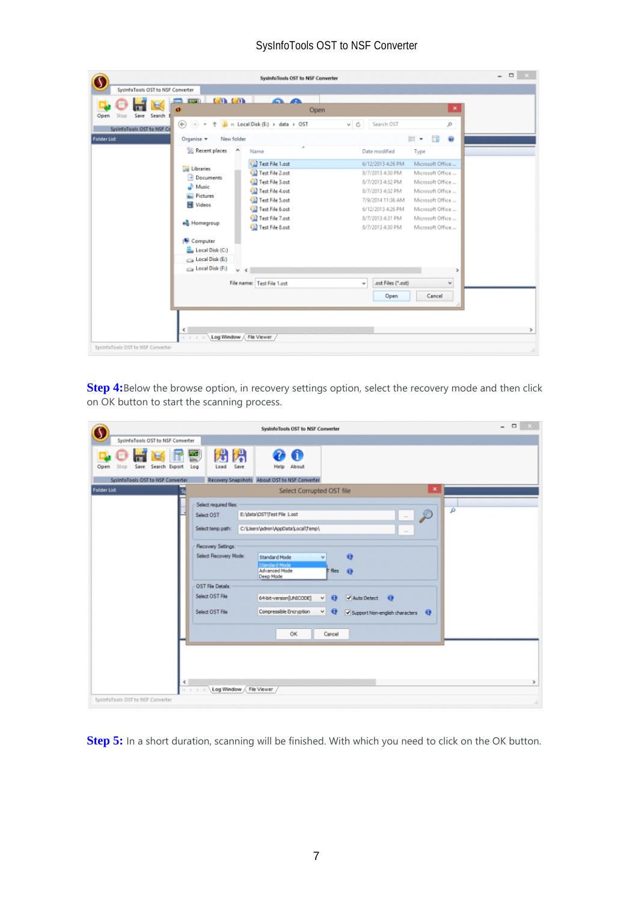|                                   |                                      | SysinfoTools OST to NSF Converter |                                         | $\qquad \qquad \Box$<br>$\overline{a}$ |
|-----------------------------------|--------------------------------------|-----------------------------------|-----------------------------------------|----------------------------------------|
| SysInfoTools OST to NSF Converter |                                      |                                   |                                         |                                        |
|                                   | $(n+1)$<br>$\mathbb{Z}$ $\mathbb{Z}$ | <u> മെ</u>                        | $\mathbf x$                             |                                        |
| Save<br>Search<br>Open<br>Stop    | $\bullet$                            | Open                              |                                         |                                        |
| SystofoTools OST to NSF Co        | $\odot$ $\odot$                      | al « Local Disk (E:) > data > OST | Search OST<br>$\vee$ C<br>ø             |                                        |
| <b>Folder List</b>                | New folder<br>Organise -             |                                   | ŵ<br>围<br>旧 +                           |                                        |
|                                   | Recent places<br>۸                   | Name                              | Date modified<br>Type                   |                                        |
|                                   |                                      | <b>Cal</b> Test File 1.ost        | Microsoft Office<br>6/12/2013 4:26 PM   |                                        |
|                                   | <b>Call Libranes</b><br>- Documents  | Test File 2.ost                   | Microsoft Office<br>8/7/2013 4:30 PM    |                                        |
|                                   | Music                                | <sup>Cal</sup> Test File 3.ost    | Microsoft Office<br>8/7/2013 4:32 PM    |                                        |
|                                   | Pictures                             | Test File 4.ost<br>ω              | Microsoft Office<br>8/7/2013 4:32 PM    |                                        |
|                                   | Videos                               | Œ<br>Test File 5.ost              | Microsoft Office<br>7/9/2014 11:36 AM   |                                        |
|                                   |                                      | Test File 6.ost                   | Microsoft Office<br>6/12/2013 4:26 PM   |                                        |
|                                   | ed Homegroup                         | Test File 7.ost                   | Microsoft Office<br>8/7/2013 4:31 PM    |                                        |
|                                   |                                      | Test File 8.ost                   | Microsoft Office<br>8/7/2013 4:30 PM    |                                        |
|                                   | Computer                             |                                   |                                         |                                        |
|                                   | Local Disk (C:)                      |                                   |                                         |                                        |
|                                   | Local Disk (E:)                      |                                   |                                         |                                        |
|                                   | Local Disk (F:)<br>$\checkmark$      | $\epsilon$                        |                                         |                                        |
|                                   |                                      | File name: Test File 1.ost        | .ost Files (".ost)<br>$\checkmark$<br>v |                                        |
|                                   |                                      |                                   | Cancel<br>Open                          |                                        |
|                                   |                                      |                                   |                                         |                                        |
|                                   |                                      |                                   |                                         |                                        |
|                                   |                                      |                                   |                                         |                                        |
|                                   | €                                    |                                   |                                         |                                        |
|                                   | Log Window                           | File Viewer                       |                                         |                                        |
| SysthfoTools OST to NSF Converter |                                      |                                   |                                         |                                        |

**Step 4:**Below the browse option, in recovery settings option, select the recovery mode and then click on OK button to start the scanning process.

|                                    | $\Box$ x<br>$\overline{a}$<br>SysinfoTools OST to NSF Converter                                                                                                                                                                                                                                                                                                                                                                                                                                                                     |
|------------------------------------|-------------------------------------------------------------------------------------------------------------------------------------------------------------------------------------------------------------------------------------------------------------------------------------------------------------------------------------------------------------------------------------------------------------------------------------------------------------------------------------------------------------------------------------|
| SystemoTools OST to NSF Converter  |                                                                                                                                                                                                                                                                                                                                                                                                                                                                                                                                     |
| Save Search Export<br>Open<br>Stop | 闪<br>舟<br>裂<br>4<br>Save<br>Help About<br>Load<br>Log                                                                                                                                                                                                                                                                                                                                                                                                                                                                               |
| SystofoTools OST to NSF Converter  | Recovery Snapshots About OST to NSF Converter                                                                                                                                                                                                                                                                                                                                                                                                                                                                                       |
| <b>Folder List</b>                 | $\mathbf x$<br>Select Corrupted OST file                                                                                                                                                                                                                                                                                                                                                                                                                                                                                            |
|                                    | Select required files:<br>۹<br>$-2$<br>E: \data\OST\Test File 1.ost<br>Select OST<br>C:\Users\admin\AppData\Local\Temp\<br>Select temp path:<br>$\sim$<br>Recovery Settings:<br>Select Recovery Mode:<br>$\Theta$<br><b>Standard Mode</b><br>v<br>Standard Mode<br>Advanced Mode<br>F files<br>$\bullet$<br>Deep Mode<br>OST File Details:<br>Select OST File<br>64-bit-version[UNICODE]<br>Auto Detect <b>O</b><br>$\bullet$<br>v.<br>$v \Theta$<br>Compressible Encryption<br>Select OST File<br>Support Non-english characters Q |
|                                    | OK<br>Cancel<br>$\leq$<br>Log Window / File Viewer                                                                                                                                                                                                                                                                                                                                                                                                                                                                                  |

**Step 5:** In a short duration, scanning will be finished. With which you need to click on the OK button.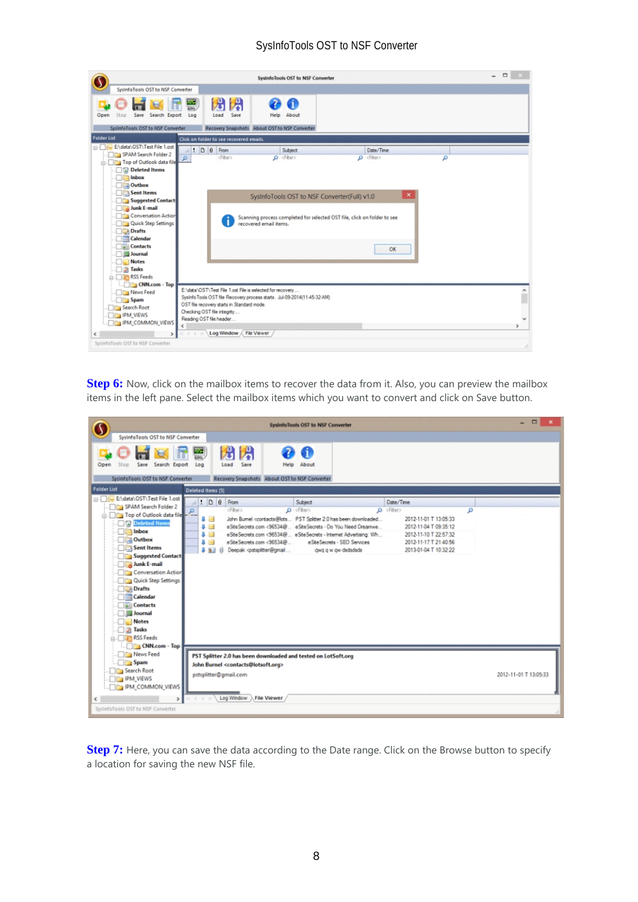|                                                                                                                                                                                                                                                                                                                                                        | SysinfoTools OST to NSF Converter                                                                                                                                                                                                                                         |                                                                                                 | $ -$ |
|--------------------------------------------------------------------------------------------------------------------------------------------------------------------------------------------------------------------------------------------------------------------------------------------------------------------------------------------------------|---------------------------------------------------------------------------------------------------------------------------------------------------------------------------------------------------------------------------------------------------------------------------|-------------------------------------------------------------------------------------------------|------|
| SysterfoTools OST to NSF Converter                                                                                                                                                                                                                                                                                                                     |                                                                                                                                                                                                                                                                           |                                                                                                 |      |
| Save<br>Search Export<br>Open<br>Stop<br>SysInfoTools OST to NSF Converter                                                                                                                                                                                                                                                                             | 侽<br>兕<br>235<br>100<br>Save<br>Log<br>Load<br><b>Help</b><br>About<br>Recovery Snapshots About OST to NSF Converter                                                                                                                                                      |                                                                                                 |      |
| <b>Folder List</b>                                                                                                                                                                                                                                                                                                                                     |                                                                                                                                                                                                                                                                           |                                                                                                 |      |
| File 1.ost<br>SPAM Search Folder 2<br><b>Company</b> Top of Outlook data file<br>Deleted Items<br>Inbox<br><b>BEST</b><br>Outbox<br>Sent Items<br>Suggested Contact<br>Junk E-mail<br>Conversation Action<br>Quick Step Settings<br><b>Drafts</b><br>Calendar<br><b>Contacts</b><br><b>Journal</b><br><b>Notes</b><br><b>Jasks</b><br><b>RSS</b> Feeds | Click on folder to see recovered emails.<br>$\bullet$ 0 8 From<br>Subject<br>O cFiber><br>dFiber><br>SysInfoTools OST to NSF Converter(Full) v1.0<br>Scanning process completed for selected OST file, click on folder to see<br>recovered email items.                   | Date/Time<br>$\rho$ <fiter><br/>۹<br/><math display="inline">\pmb{\times}</math><br/>OK</fiter> |      |
| CNN.com - Top<br><b>News Feed</b><br><b>Spam</b><br>Search Root<br><b>IPM VIEWS</b><br>IPM_COMMON_VIEWS<br>€<br>SysterfoTools OST to NSF Converter                                                                                                                                                                                                     | E:\data\OST\Test File 1.ost File is selected for recovery<br>Sysinfo Tools OST file Recovery process starts. Jul-09-2014(11-45-32-AM)<br>OST file recovery starts in Standard mode.<br>Checking OST file integrity<br>Reading OST file header<br>Log Window / File Viewer |                                                                                                 | x    |

**Step 6:** Now, click on the mailbox items to recover the data from it. Also, you can preview the mailbox items in the left pane. Select the mailbox items which you want to convert and click on Save button.

|                                                                                                                                                                                                                                                                                                                              | System Tools OST to NSF Converter                                                                                                                                                                                                                                                                                                                                                                                                                                                                                                                                                                                                                                                                                                                                                     | $\Box$                |
|------------------------------------------------------------------------------------------------------------------------------------------------------------------------------------------------------------------------------------------------------------------------------------------------------------------------------|---------------------------------------------------------------------------------------------------------------------------------------------------------------------------------------------------------------------------------------------------------------------------------------------------------------------------------------------------------------------------------------------------------------------------------------------------------------------------------------------------------------------------------------------------------------------------------------------------------------------------------------------------------------------------------------------------------------------------------------------------------------------------------------|-----------------------|
| SysinfoTools OST to NSF Converter                                                                                                                                                                                                                                                                                            |                                                                                                                                                                                                                                                                                                                                                                                                                                                                                                                                                                                                                                                                                                                                                                                       |                       |
| Save Search Export<br>Stop<br>Open<br>SysinfoTools OST to NSF Converter                                                                                                                                                                                                                                                      | 閉<br>况<br>$rac{20}{100}$<br>61<br>Log<br>Load<br>Save<br>About<br>Help<br>Recovery Snapshots About OST to NSF Converter                                                                                                                                                                                                                                                                                                                                                                                                                                                                                                                                                                                                                                                               |                       |
| <b>Folder List</b>                                                                                                                                                                                                                                                                                                           | Deleted Items [5]                                                                                                                                                                                                                                                                                                                                                                                                                                                                                                                                                                                                                                                                                                                                                                     |                       |
| Re El data\OST\Test File 1.ost<br>SPAM Search Folder 2<br>Top of Outlook data file<br>Deleted Items<br><b>The Inbox</b><br>Outbox<br>Sent Items<br>Suggested Contact<br>Junk E-mail<br>Conversation Action<br>Quick Step Settings<br>Drafts<br><b>Calendar</b><br><b>Contacts</b><br><b>Journal</b><br>Notes<br><b>Jasks</b> | $\bullet$ 0 8 From<br>Subject<br>Date/Time<br>cFiber><br>O <fiter><br/><math>\rho</math> cfiter&gt;<br/>ρ<br/>John Bumel <contacts@lots 2.0="" been="" downloaded<br="" has="" pst="" splitter="">2012-11-01 T 13:05:33<br/>s<br/><math display="inline">\geq</math><br/>eSiteSecrets.com &lt;96534@ eSiteSecrets - Do You Need Dreamwe<br/>s<br/>2012-11-04 T 09:35:12<br/><math display="inline">\sim</math><br/>24<br/>eSiteSecrets.com &lt;96534@ eSiteSecrets - Internet Advertising: Wh<br/>2012-11-10 T 22:57:32<br/>а<br/>2012-11-17 T 21:40:56<br/>g.<br/><math display="inline">\sim</math><br/>eSiteSecrets.com &lt;96534@ eSiteSecrets - SEO Services<br/>Deepak opstspitter@gmail<br/>35<br/>gwg g w gw dadsdads<br/>2013-01-04 T 10:32:22<br/>н</contacts@lots></fiter> |                       |
| <b>RSS Feeds</b><br>CNN.com - Top                                                                                                                                                                                                                                                                                            |                                                                                                                                                                                                                                                                                                                                                                                                                                                                                                                                                                                                                                                                                                                                                                                       |                       |
| News Feed<br>Spam<br>Search Root<br><b>IPM_VIEWS</b><br><b>IPM_COMMON_VIEWS</b>                                                                                                                                                                                                                                              | PST Splitter 2.0 has been downloaded and tested on LotSoft.org<br>John Burnel <contacts@lotsoft.org><br/>pstsplitter@gmail.com</contacts@lotsoft.org>                                                                                                                                                                                                                                                                                                                                                                                                                                                                                                                                                                                                                                 | 2012-11-01 T 13:05:33 |
| €<br>SysterfoTools OST to NSF Converter                                                                                                                                                                                                                                                                                      | . File Viewer<br>Log Window                                                                                                                                                                                                                                                                                                                                                                                                                                                                                                                                                                                                                                                                                                                                                           |                       |

**Step 7:** Here, you can save the data according to the Date range. Click on the Browse button to specify a location for saving the new NSF file.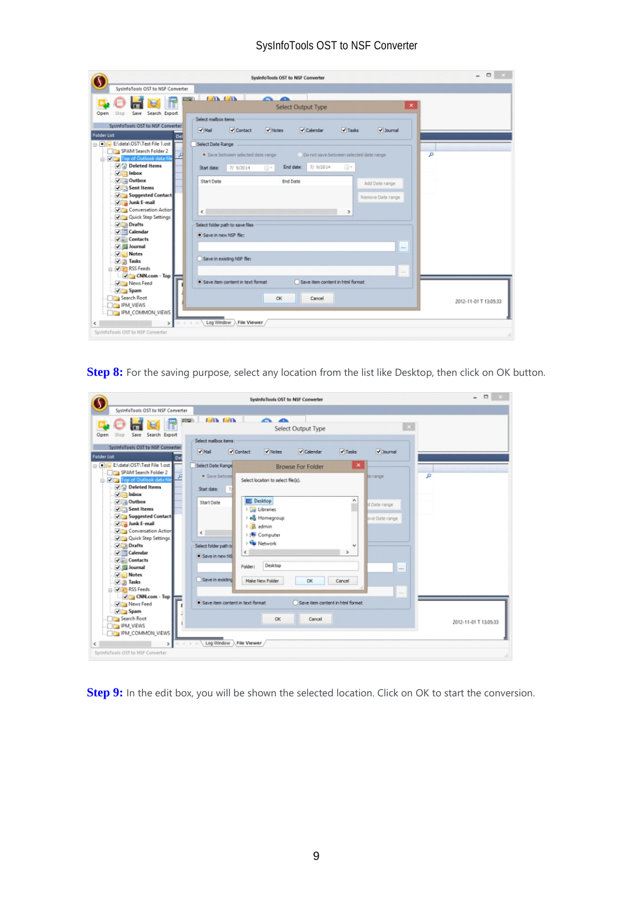|                                                   | SysinfoTools OST to NSF Converter                                                                                    | $\qquad \qquad \Box$<br>÷. |
|---------------------------------------------------|----------------------------------------------------------------------------------------------------------------------|----------------------------|
| SysInfoTools OST to NSF Converter                 |                                                                                                                      |                            |
|                                                   | <b>ATA LATA</b><br>$\sim$ $\sim$<br><b>CONTINUES</b>                                                                 |                            |
|                                                   | <b>Select Output Type</b>                                                                                            |                            |
| Save Search Export<br>Open<br>Stop                | Select maibox hems                                                                                                   |                            |
| SystofoTools OST to NSF Converter                 |                                                                                                                      |                            |
| Folder List<br>Del                                | $\blacktriangledown$ Mail<br>√ Contact<br>V Notes<br>$\sqrt{T}$ Tasks<br>V Journal<br>$\blacktriangleright$ Calendar |                            |
| ENdata\OST\Test File 1.ost                        | Select Date Range                                                                                                    |                            |
| SPAM Search Folder 2                              | ۹<br>· Save between selected date range<br>Do not save between selected date range                                   |                            |
| <b>D. V Top of Outlook data file</b>              |                                                                                                                      |                            |
| Deleted Items                                     | 7/ 9/2014<br>End date:<br>⊕<br>Start date:<br>7/9/2014<br>同士                                                         |                            |
| $\sqrt{\phantom{a}}$ Inbox<br>$\vee$ Outbox       |                                                                                                                      |                            |
| $\sqrt{\phantom{a}}$ Sent Items                   | <b>Start Date</b><br><b>End Date</b><br>Add Date range                                                               |                            |
| V Suggested Contact                               | Remove Date range                                                                                                    |                            |
| $\sqrt{2}$ Junk E-mail                            |                                                                                                                      |                            |
| Conversation Action                               | $\epsilon$<br>$\rightarrow$                                                                                          |                            |
| Ouick Step Settings                               |                                                                                                                      |                            |
| Drafts<br>$\sqrt{\phantom{a}}$ Calendar           | Select folder path to save files                                                                                     |                            |
| V & Contacts                                      | · Save in new NSF file:                                                                                              |                            |
| V Journal                                         | $***$                                                                                                                |                            |
| V Notes                                           |                                                                                                                      |                            |
| $\sqrt{3}$ Tasks                                  | Save in existing NSF file:                                                                                           |                            |
| <b>COLOR</b> RSS Feeds                            | Texas.                                                                                                               |                            |
| $\sqrt{\phantom{a}}$ CNN.com - Top<br>V News Feed | Save item content in text format<br>Save item content in html format                                                 |                            |
| $\sqrt{ }$ Spam                                   |                                                                                                                      |                            |
| Search Root                                       | CK<br>Cancel                                                                                                         | 2012-11-01 T 13:05:33      |
| <b>FOR IPM VIEWS</b>                              |                                                                                                                      |                            |
| IPM_COMMON_VIEWS                                  |                                                                                                                      |                            |
|                                                   | Log Window > File Viewer<br>$-1 \qquad \qquad + \qquad 16$                                                           |                            |
| Systerfolioots OST to NSF Converter               |                                                                                                                      |                            |

**Step 8:** For the saving purpose, select any location from the list like Desktop, then click on OK button.

| SystemoTools OST to NSF Converter<br><b>CATA CATA</b><br>$\sim$ $\sim$<br><b>COURT</b><br>Select Output Type<br>Save Search Export<br>Open<br>Stop<br>Select malbox tems:                     |  |
|-----------------------------------------------------------------------------------------------------------------------------------------------------------------------------------------------|--|
|                                                                                                                                                                                               |  |
|                                                                                                                                                                                               |  |
|                                                                                                                                                                                               |  |
| SysInfoTools OST to NSF Converter<br>$\blacktriangledown$ Mail<br>V Contact<br>$\blacktriangledown$ Tasks<br>Journal<br>V Notes<br>$\sqrt{\phantom{a}}$ Calendar<br><b>Folder List</b><br>Del |  |
| File 1.ost<br>Select Date Range<br>$\mathbf x$<br><b>Browse For Folder</b>                                                                                                                    |  |
| SPAM Search Folder 2<br>م<br>· Save betwee<br>te range<br>D. V Dig Top of Outlook data fi<br>Select location to select file(s).                                                               |  |
| Deleted Items<br>Start date:                                                                                                                                                                  |  |
| $\sqrt{2}$ Inbox<br>۸                                                                                                                                                                         |  |
| Desktop<br>$\sqrt{\phantom{a}}$ Outbox<br><b>Start Date</b><br>d Date range<br>×                                                                                                              |  |
| Sent Items<br><b>Libraries</b><br>V Suggested Contact                                                                                                                                         |  |
| el Homegroup<br>ove Date range<br>$\sqrt{\phantom{a}}$ Junk E-mail                                                                                                                            |  |
| <b>B.</b> admin<br>Conversation Action<br>$\epsilon$                                                                                                                                          |  |
| <b>E</b> Computer<br>Quick Step Settings                                                                                                                                                      |  |
| <b>Gu Network</b><br><b>V</b> Drafts<br>Select folder path to                                                                                                                                 |  |
| $\sqrt{\phantom{a}}$ Calendar<br>€                                                                                                                                                            |  |
| Save in new NS<br>V Contacts                                                                                                                                                                  |  |
| Desktop<br>Folder:<br>V G Journal<br>$\overline{\phantom{a}}$                                                                                                                                 |  |
| V Notes                                                                                                                                                                                       |  |
| Save in existing<br>Make New Folder<br>ОК<br>Cancel<br>$\sqrt{3}$ Tasks                                                                                                                       |  |
| RSS Feeds<br>in 1                                                                                                                                                                             |  |
| $\sqrt{\phantom{a}}$ CNN.com - Top                                                                                                                                                            |  |
| Save item content in text format<br>Save item content in html format<br>V News Feed                                                                                                           |  |
| V Spam                                                                                                                                                                                        |  |
| Search Root<br>CK<br>Cancel<br>2012-11-01 T 13:05:33                                                                                                                                          |  |
| <b>TIPM VIEWS</b>                                                                                                                                                                             |  |
| <b>FEE IPM_COMMON_VIEWS</b>                                                                                                                                                                   |  |
| Log Window > File Viewer /<br>$\rightarrow$<br>e                                                                                                                                              |  |
| Systerfolloots OST to NSF Converter                                                                                                                                                           |  |

**Step 9:** In the edit box, you will be shown the selected location. Click on OK to start the conversion.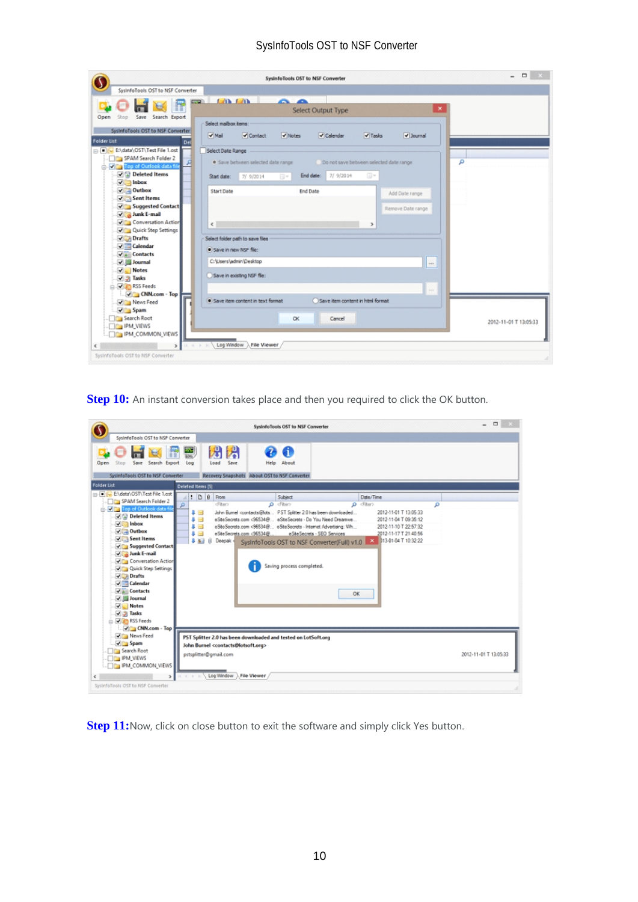|                                                               | SysinfoTools OST to NSF Converter                                                                            | $\hfill \square$<br>$\overline{a}$<br>$\mathbf{x}$ |
|---------------------------------------------------------------|--------------------------------------------------------------------------------------------------------------|----------------------------------------------------|
| SystefoTools OST to NSF Converter                             |                                                                                                              |                                                    |
|                                                               | <b>CAR CAR</b><br>~<br>$\overline{\phantom{a}}$<br><b>CONTROL</b>                                            |                                                    |
|                                                               | ×<br>Select Output Type                                                                                      |                                                    |
| Save Search Export<br>Open<br>Stop                            | Select maibox hems:                                                                                          |                                                    |
| SysInfoTools OST to NSF Converter                             | $\blacktriangledown$ Mail<br>V Notes<br>$\triangledown$ Calendar<br>Journal<br>V Contact<br>$\sqrt{T}$ Tasks |                                                    |
| <b>Folder List</b><br>Del                                     |                                                                                                              |                                                    |
| File 1.ost                                                    | Select Date Range                                                                                            |                                                    |
| SPAM Search Folder 2<br><b>D. V Ra Top of Outlook data fi</b> | · Save between selected date range<br>Do not save between selected date range<br>۵                           |                                                    |
| Deleted Items                                                 | End date:<br>7/ 9/2014<br>O) v<br>7/9/2014<br>Start date:<br>同米                                              |                                                    |
| $\sqrt{\Box}$ Inbox<br>$\sqrt{\phantom{a}}$ Outbox            | Start Date<br><b>End Date</b>                                                                                |                                                    |
| $\sqrt{\phantom{a}}$ Sent Items                               | Add Date range                                                                                               |                                                    |
| V Suggested Contact                                           | Remove Date range                                                                                            |                                                    |
| Junk E-mail                                                   |                                                                                                              |                                                    |
| Conversation Action                                           | $\epsilon$                                                                                                   |                                                    |
| Quick Step Settings                                           |                                                                                                              |                                                    |
| V Drafts                                                      | Select folder path to save files                                                                             |                                                    |
| $\sqrt{\phantom{a}}$ Calendar                                 | · Save in new NSF file:                                                                                      |                                                    |
| V & Contacts<br>√ 图 Journal                                   | C:\Users\admin\Desktop                                                                                       |                                                    |
| V Notes                                                       |                                                                                                              |                                                    |
| $\sqrt{3}$ Tasks                                              | Save in existing NSF file:                                                                                   |                                                    |
| <b>B-DIED RSS Feeds</b>                                       | 1000                                                                                                         |                                                    |
| $\sqrt{\phantom{a}}$ CNN.com - Top<br>News Feed               | Save item content in html format<br>· Save item content in text format                                       |                                                    |
| $\sqrt{ }$ Spam                                               |                                                                                                              |                                                    |
| Search Root                                                   | <b>OK</b><br>Cancel                                                                                          | 2012-11-01 T 13:05:33                              |
| <b>IPM_VIEWS</b>                                              |                                                                                                              |                                                    |
| <b>IPM_COMMON_VIEWS</b>                                       |                                                                                                              |                                                    |
| €                                                             | Log Window > File Viewer /                                                                                   |                                                    |
| SysInfoTools OST to NSF Converter                             |                                                                                                              |                                                    |

**Step 10:** An instant conversion takes place and then you required to click the OK button.

|                                                                                                                                                                                                                                                                                                                                                                                                                                                                                                            | Systemologis OST to NSF Converter                                                                                                                                                                                                                                                                                                                                                                                                                                                                                                                                                                                                                                                                                                                                                                                                             | $\qquad \qquad \Box$<br>$\overline{\phantom{0}}$<br>$\mathbf{x}$ |
|------------------------------------------------------------------------------------------------------------------------------------------------------------------------------------------------------------------------------------------------------------------------------------------------------------------------------------------------------------------------------------------------------------------------------------------------------------------------------------------------------------|-----------------------------------------------------------------------------------------------------------------------------------------------------------------------------------------------------------------------------------------------------------------------------------------------------------------------------------------------------------------------------------------------------------------------------------------------------------------------------------------------------------------------------------------------------------------------------------------------------------------------------------------------------------------------------------------------------------------------------------------------------------------------------------------------------------------------------------------------|------------------------------------------------------------------|
| SysterfoTools OST to NSF Converter<br>Open<br>Save Search Export<br>Stop<br>SystofoTools OST to NSF Converter<br><b>Folder List</b><br>Pile E:\data\OST\Test File 1.ost<br>SPAM Search Folder 2<br><b>D. Visa Top of Outlook data f</b><br>O Deleted Items<br>$\sqrt{\Box}$ Inbox<br>$\sqrt{\phantom{a}}$ Outbox<br>Sent Items<br>V Suggested Contact<br>$\sqrt{2}$ Junk E-mail<br>Conversation Action<br>Quick Step Settings<br>V Drafts<br>$\sqrt{ }$ Calendar<br>V & Contacts<br>V S Journal<br>V Notes | 舟<br>ฝ<br>$rac{1}{100}$<br>ã.<br>Save<br>Log<br>Load<br>About<br>Help<br>Recovery Snapshots About OST to NSF Converter<br>Deleted Items [5]<br>$\bullet$ 0 8 From<br>Date/Time<br>Subject<br>cFiber><br><b>p</b> cFibers<br>$\rho$ cfiter><br>۵<br>John Bumel <contacts@lots 2.0="" been="" downloaded<br="" has="" pst="" solitter="">∔ ⊠<br/>2012-11-01 T 13:05:33<br/>eSiteSecrets.com &lt;96534@ eSiteSecrets - Do You Need Dreamwe<br/>88<br/>2012-11-04 T 09:35:12<br/>₿. sai<br/>eSiteSecrets.com &lt;96534@ eSiteSecrets - Internet Advertising: Wh<br/>2012-11-10 T 22:57:32<br/>83<br/>eSiteSecrets.com &lt;96534@ eSiteSecrets - SEO Services<br/>2012-11-17 T 21:40:56<br/>X 013-01-04 T 10:32:22<br/>0.81<br/>Deepak<br/>и<br/>SysInfoTools OST to NSF Converter(Full) v1.0<br/>Saving process completed.<br/>OK</contacts@lots> |                                                                  |
| $\sqrt{3}$ Tasks<br><b>COLOR</b> RSS Feeds<br>V CNN.com - Top<br>V News Feed<br>$\sqrt{ }$ Spam<br>Search Root<br><b>IPM VIEWS</b><br>IPM_COMMON_VIEWS<br>€<br>SysterfoTools OST to NSF Converter                                                                                                                                                                                                                                                                                                          | PST Splitter 2.0 has been downloaded and tested on LotSoft.org<br>John Burnel <contacts@lotsoft.org><br/>pstsplitter@gmail.com<br/>Log Window &gt; File Viewer</contacts@lotsoft.org>                                                                                                                                                                                                                                                                                                                                                                                                                                                                                                                                                                                                                                                         | 2012-11-01 T 13:05:33                                            |

**Step 11:** Now, click on close button to exit the software and simply click Yes button.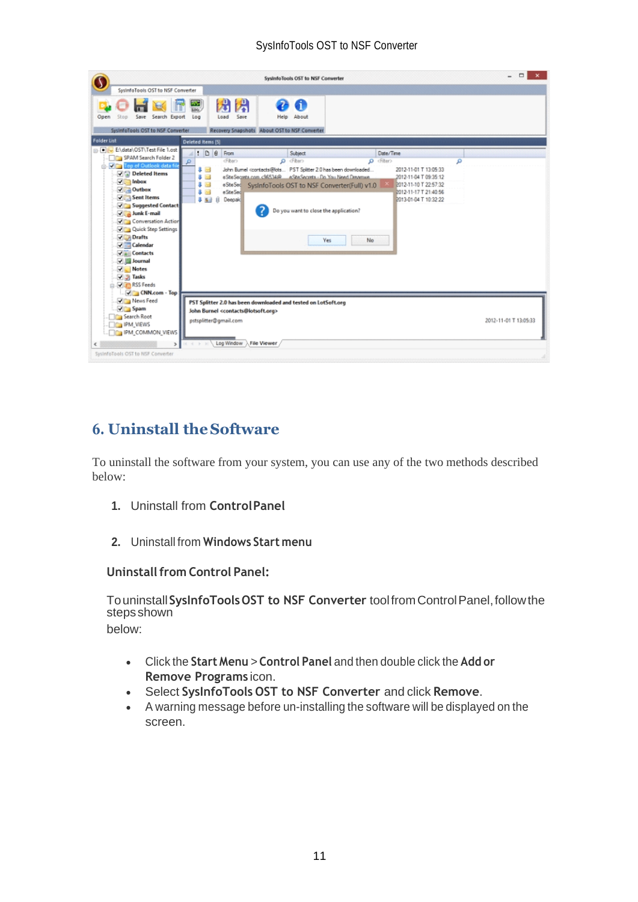|                                                                                                                                                                                                                                                                                                                                                                                                                                                                                     | SysinfoTools OST to NSF Converter                                                                                                                                                                                                                                                                                                                                                                                                                                                                                                                                                                                        | $\Box$                |
|-------------------------------------------------------------------------------------------------------------------------------------------------------------------------------------------------------------------------------------------------------------------------------------------------------------------------------------------------------------------------------------------------------------------------------------------------------------------------------------|--------------------------------------------------------------------------------------------------------------------------------------------------------------------------------------------------------------------------------------------------------------------------------------------------------------------------------------------------------------------------------------------------------------------------------------------------------------------------------------------------------------------------------------------------------------------------------------------------------------------------|-----------------------|
| SysinfoTools OST to NSF Converter                                                                                                                                                                                                                                                                                                                                                                                                                                                   |                                                                                                                                                                                                                                                                                                                                                                                                                                                                                                                                                                                                                          |                       |
| Open<br>Stop<br>Save Search Export<br>Systerdools OST to NSF Converter                                                                                                                                                                                                                                                                                                                                                                                                              | 閉<br>舟<br>$\frac{20}{100}$<br>Save<br>About<br>Load<br>Log<br>Help<br>Recovery Snapshots About OST to NSF Converter                                                                                                                                                                                                                                                                                                                                                                                                                                                                                                      |                       |
| <b>Folder List</b>                                                                                                                                                                                                                                                                                                                                                                                                                                                                  | Deleted Items [5]                                                                                                                                                                                                                                                                                                                                                                                                                                                                                                                                                                                                        |                       |
| ENdata\OST\Test File 1.ost<br>SPAM Search Folder 2<br>D. View Top of Outlook data fi<br>Deleted Items<br>$\sqrt{\phantom{a}}$ Inbox<br>$\sqrt{\phantom{a}}$ Outbox<br>$\sqrt{\phantom{a}}$ Sent Items<br>V Suggested Contact<br>$\sqrt{\phantom{a}}$ Junk E-mail<br>Conversation Action<br>Quick Step Settings<br>V Drafts<br>$\sqrt{\phantom{a}}$ Calendar<br>V & Contacts<br>Journal<br>V Notes<br><b>J</b> Tasks<br><b>COLOR</b> RSS Feeds<br>$\sqrt{\phantom{a}}$ CNN.com - Top | : 00<br>Date/Time<br>From<br>Subject<br>p cFhen<br><fiber><br/><math>\rho</math> cfiter&gt;<br/>۹<br/>John Bumel <contacts@lots 2.0="" been="" downloaded<br="" has="" pst="" solitter="">83<br/>2012-11-01 T 13:05:33<br/>eSteSecreta.com &lt;96534@ eSteSecreta - Do You Need Dreamun.<br/>83<br/>2012-11-04 T 09:35:12<br/>₿ zd<br/>2012-11-10 T 22:57:32<br/>eSteSed SysInfoTools OST to NSF Converter(Full) v1.0<br/>圖<br/>2012-11-17 T 21:40:56<br/>g.<br/>e Site Sed<br/>0.81<br/>Deepak<br/>2013-01-04 T 10:32:22<br/>Ĥ.<br/>Do you want to close the application?<br/><b>Yes</b><br/>No</contacts@lots></fiber> |                       |
| News Feed<br>$\sqrt{ }$ Spam<br>Search Root<br><b>FOR IPM VIEWS</b><br><b>IDA IPM_COMMON_VIEWS</b><br>$\geq$<br>€<br>SystofoTools OST to NSF Converter                                                                                                                                                                                                                                                                                                                              | PST Splitter 2.0 has been downloaded and tested on LotSoft.org<br>John Burnel <contacts@lotsoft.org><br/>pstsplitter@gmail.com<br/>Log Window &gt; File Viewer</contacts@lotsoft.org>                                                                                                                                                                                                                                                                                                                                                                                                                                    | 2012-11-01 T 13:05:33 |

# <span id="page-11-0"></span>**6. Uninstall theSoftware**

To uninstall the software from your system, you can use any of the two methods described below:

- **1.** Uninstall from **ControlPanel**
- **2.** Uninstall from **Windows Start menu**

#### **Uninstall from Control Panel:**

Touninstall**SysInfoToolsOST to NSF Converter** toolfromControlPanel,followthe stepsshown

below:

- Click the **Start Menu** > **Control Panel** and then double click the **Add or Remove Programs** icon.
- Select **SysInfoTools OST to NSF Converter** and click **Remove**.
- A warning message before un-installing the software will be displayed on the screen.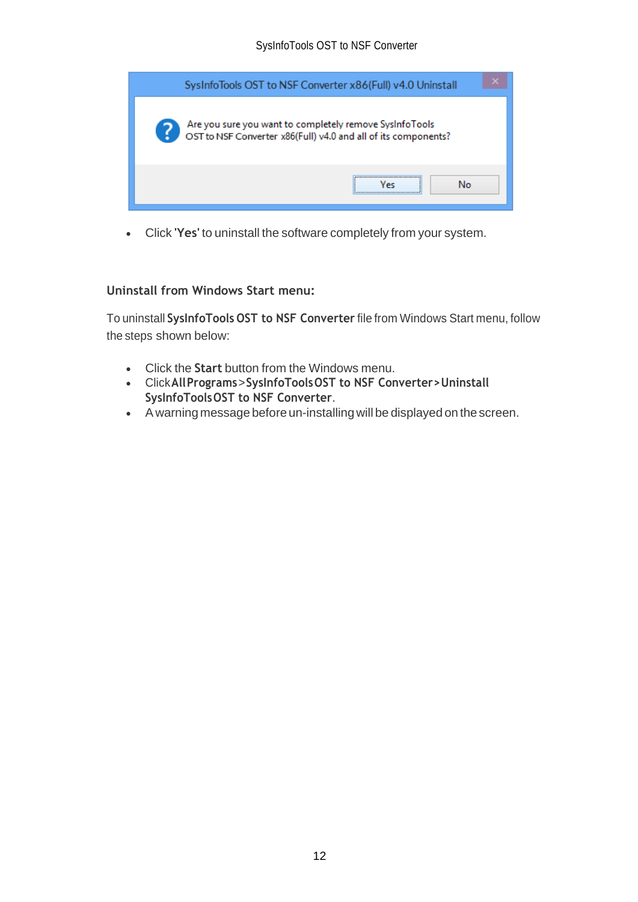| SysInfoTools OST to NSF Converter x86(Full) v4.0 Uninstall                                                                |
|---------------------------------------------------------------------------------------------------------------------------|
| Are you sure you want to completely remove SysInfoTools<br>OST to NSF Converter x86(Full) v4.0 and all of its components? |
| <br>No<br>Vec                                                                                                             |

• Click **'Yes'** to uninstall the software completely from your system.

#### **Uninstall from Windows Start menu:**

To uninstall **SysInfoTools OST to NSF Converter** file from Windows Start menu, follow the steps shown below:

- Click the **Start** button from the Windows menu.
- Click**AllPrograms**>**SysInfoToolsOST to NSF Converter>Uninstall SysInfoToolsOST to NSF Converter**.
- A warning message before un-installingwill be displayed on the screen.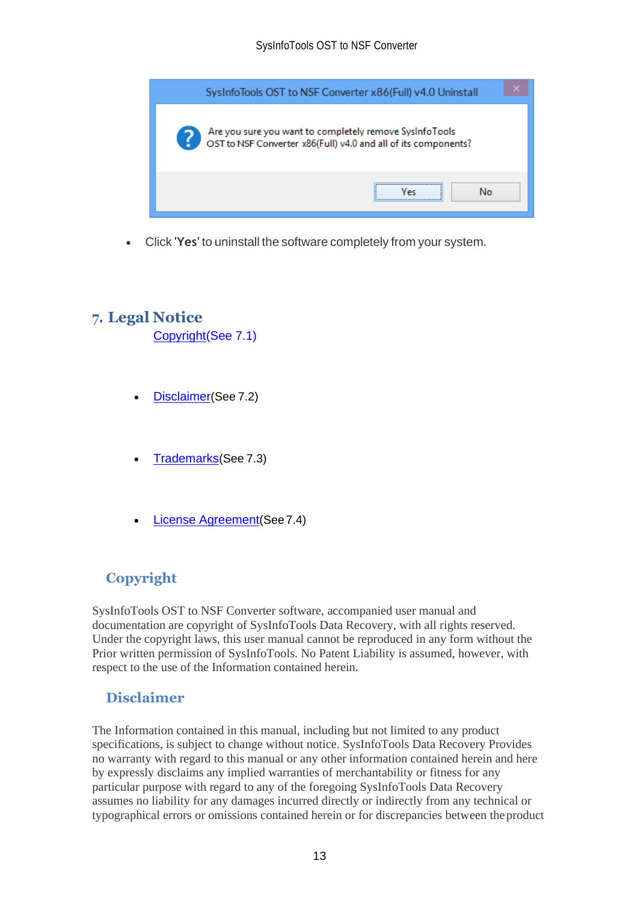

• Click **'Yes'** to uninstall the software completely from your system.

## <span id="page-13-0"></span>**7. Legal Notice**

[Copyright\(](#page-13-1)See 7.1)

- [Disclaimer](#page-13-2)(See 7.2)
- [Trademarks](#page-14-0)(See 7.3)
- [License Agreement](#page-14-1)(See7.4)

# <span id="page-13-1"></span>**Copyright**

SysInfoTools OST to NSF Converter software, accompanied user manual and documentation are copyright of SysInfoTools Data Recovery, with all rights reserved. Under the copyright laws, this user manual cannot be reproduced in any form without the Prior written permission of SysInfoTools. No Patent Liability is assumed, however, with respect to the use of the Information contained herein.

## <span id="page-13-2"></span>**Disclaimer**

The Information contained in this manual, including but not limited to any product specifications, is subject to change without notice. SysInfoTools Data Recovery Provides no warranty with regard to this manual or any other information contained herein and here by expressly disclaims any implied warranties of merchantability or fitness for any particular purpose with regard to any of the foregoing SysInfoTools Data Recovery assumes no liability for any damages incurred directly or indirectly from any technical or typographical errors or omissions contained herein or for discrepancies between theproduct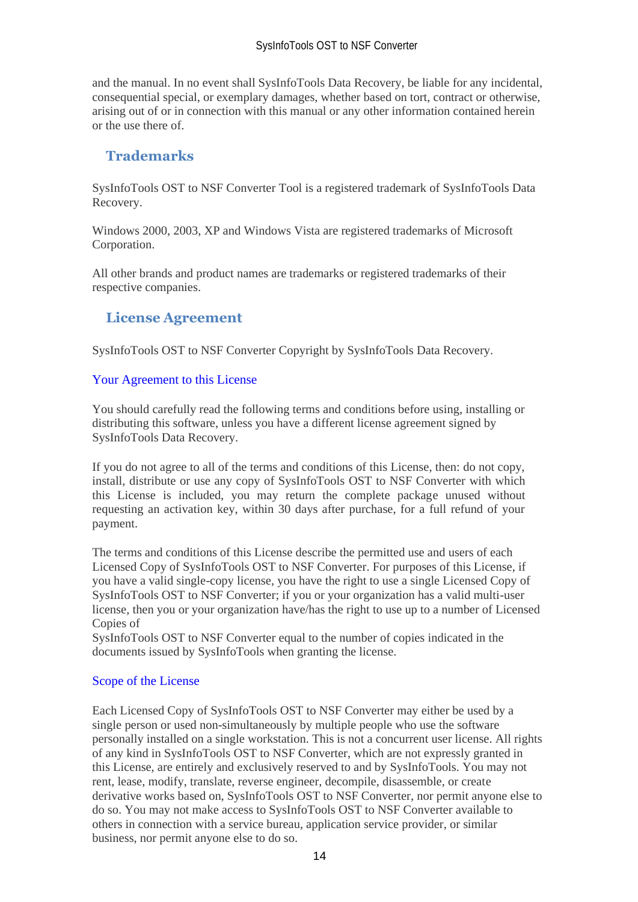and the manual. In no event shall SysInfoTools Data Recovery, be liable for any incidental, consequential special, or exemplary damages, whether based on tort, contract or otherwise, arising out of or in connection with this manual or any other information contained herein or the use there of.

## <span id="page-14-0"></span>**Trademarks**

SysInfoTools OST to NSF Converter Tool is a registered trademark of SysInfoTools Data Recovery.

Windows 2000, 2003, XP and Windows Vista are registered trademarks of Microsoft Corporation.

All other brands and product names are trademarks or registered trademarks of their respective companies.

## <span id="page-14-1"></span>**License Agreement**

SysInfoTools OST to NSF Converter Copyright by SysInfoTools Data Recovery.

#### Your Agreement to this License

You should carefully read the following terms and conditions before using, installing or distributing this software, unless you have a different license agreement signed by SysInfoTools Data Recovery.

If you do not agree to all of the terms and conditions of this License, then: do not copy, install, distribute or use any copy of SysInfoTools OST to NSF Converter with which this License is included, you may return the complete package unused without requesting an activation key, within 30 days after purchase, for a full refund of your payment.

The terms and conditions of this License describe the permitted use and users of each Licensed Copy of SysInfoTools OST to NSF Converter. For purposes of this License, if you have a valid single-copy license, you have the right to use a single Licensed Copy of SysInfoTools OST to NSF Converter; if you or your organization has a valid multi-user license, then you or your organization have/has the right to use up to a number of Licensed Copies of

SysInfoTools OST to NSF Converter equal to the number of copies indicated in the documents issued by SysInfoTools when granting the license.

#### Scope of the License

Each Licensed Copy of SysInfoTools OST to NSF Converter may either be used by a single person or used non-simultaneously by multiple people who use the software personally installed on a single workstation. This is not a concurrent user license. All rights of any kind in SysInfoTools OST to NSF Converter, which are not expressly granted in this License, are entirely and exclusively reserved to and by SysInfoTools. You may not rent, lease, modify, translate, reverse engineer, decompile, disassemble, or create derivative works based on, SysInfoTools OST to NSF Converter, nor permit anyone else to do so. You may not make access to SysInfoTools OST to NSF Converter available to others in connection with a service bureau, application service provider, or similar business, nor permit anyone else to do so.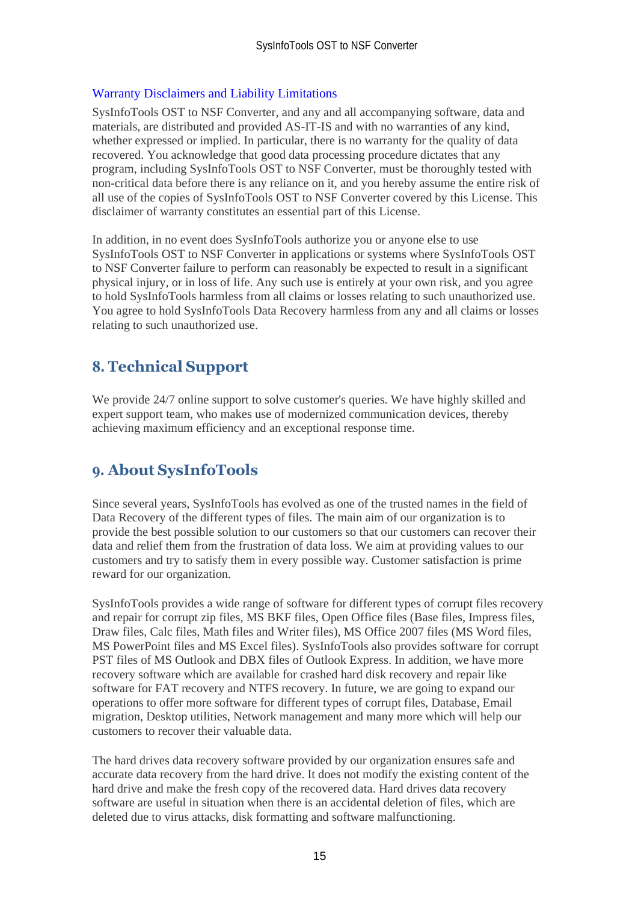#### Warranty Disclaimers and Liability Limitations

SysInfoTools OST to NSF Converter, and any and all accompanying software, data and materials, are distributed and provided AS-IT-IS and with no warranties of any kind, whether expressed or implied. In particular, there is no warranty for the quality of data recovered. You acknowledge that good data processing procedure dictates that any program, including SysInfoTools OST to NSF Converter, must be thoroughly tested with non-critical data before there is any reliance on it, and you hereby assume the entire risk of all use of the copies of SysInfoTools OST to NSF Converter covered by this License. This disclaimer of warranty constitutes an essential part of this License.

In addition, in no event does SysInfoTools authorize you or anyone else to use SysInfoTools OST to NSF Converter in applications or systems where SysInfoTools OST to NSF Converter failure to perform can reasonably be expected to result in a significant physical injury, or in loss of life. Any such use is entirely at your own risk, and you agree to hold SysInfoTools harmless from all claims or losses relating to such unauthorized use. You agree to hold SysInfoTools Data Recovery harmless from any and all claims or losses relating to such unauthorized use.

# <span id="page-15-0"></span>**8. Technical Support**

We provide 24/7 online support to solve customer's queries. We have highly skilled and expert support team, who makes use of modernized communication devices, thereby achieving maximum efficiency and an exceptional response time.

# <span id="page-15-1"></span>**9. About SysInfoTools**

Since several years, SysInfoTools has evolved as one of the trusted names in the field of Data Recovery of the different types of files. The main aim of our organization is to provide the best possible solution to our customers so that our customers can recover their data and relief them from the frustration of data loss. We aim at providing values to our customers and try to satisfy them in every possible way. Customer satisfaction is prime reward for our organization.

SysInfoTools provides a wide range of software for different types of corrupt files recovery and repair for corrupt zip files, MS BKF files, Open Office files (Base files, Impress files, Draw files, Calc files, Math files and Writer files), MS Office 2007 files (MS Word files, MS PowerPoint files and MS Excel files). SysInfoTools also provides software for corrupt PST files of MS Outlook and DBX files of Outlook Express. In addition, we have more recovery software which are available for crashed hard disk recovery and repair like software for FAT recovery and NTFS recovery. In future, we are going to expand our operations to offer more software for different types of corrupt files, Database, Email migration, Desktop utilities, Network management and many more which will help our customers to recover their valuable data.

The hard drives data recovery software provided by our organization ensures safe and accurate data recovery from the hard drive. It does not modify the existing content of the hard drive and make the fresh copy of the recovered data. Hard drives data recovery software are useful in situation when there is an accidental deletion of files, which are deleted due to virus attacks, disk formatting and software malfunctioning.